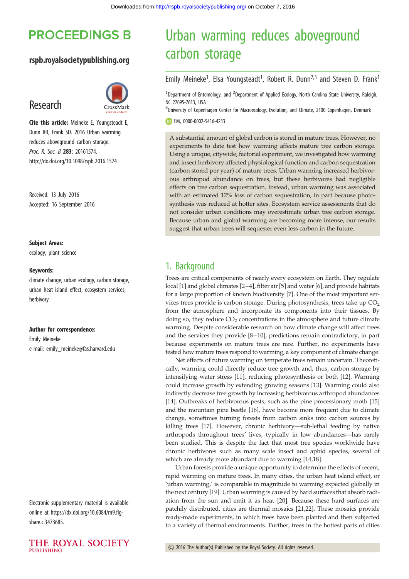# **PROCEEDINGS B**

### rspb.royalsocietypublishing.org

## Research



Cite this article: Meineke E, Youngsteadt E, Dunn RR, Frank SD. 2016 Urban warming reduces aboveground carbon storage. Proc. R. Soc. B 283: 20161574. http://dx.doi.org/10.1098/rspb.2016.1574

Received: 13 July 2016 Accepted: 16 September 2016

#### Subject Areas:

ecology, plant science

#### Keywords:

climate change, urban ecology, carbon storage, urban heat island effect, ecosystem services, herbivory

#### Author for correspondence:

Emily Meineke e-mail: emily\_meineke@fas.harvard.edu

Electronic supplementary material is available online at https://dx.doi.org/10.6084/m9.figshare.c.3473685.



# Urban warming reduces aboveground carbon storage

Emily Meineke<sup>1</sup>, Elsa Youngsteadt<sup>1</sup>, Robert R. Dunn<sup>2,3</sup> and Steven D. Frank<sup>1</sup>

<sup>1</sup>Department of Entomology, and <sup>2</sup>Department of Applied Ecology, North Carolina State University, Raleigh, NC 27695-7613, USA

<sup>3</sup>University of Copenhagen Center for Macroecology, Evolution, and Climate, 2100 Copenhagen, Denmark

EM, 0000-0002-5416-4233

A substantial amount of global carbon is stored in mature trees. However, no experiments to date test how warming affects mature tree carbon storage. Using a unique, citywide, factorial experiment, we investigated how warming and insect herbivory affected physiological function and carbon sequestration (carbon stored per year) of mature trees. Urban warming increased herbivorous arthropod abundance on trees, but these herbivores had negligible effects on tree carbon sequestration. Instead, urban warming was associated with an estimated 12% loss of carbon sequestration, in part because photosynthesis was reduced at hotter sites. Ecosystem service assessments that do not consider urban conditions may overestimate urban tree carbon storage. Because urban and global warming are becoming more intense, our results suggest that urban trees will sequester even less carbon in the future.

## 1. Background

Trees are critical components of nearly every ecosystem on Earth. They regulate local [1] and global climates [2–4], filter air [5] and water [6], and provide habitats for a large proportion of known biodiversity [7]. One of the most important services trees provide is carbon storage. During photosynthesis, trees take up  $CO<sub>2</sub>$ from the atmosphere and incorporate its components into their tissues. By doing so, they reduce  $CO<sub>2</sub>$  concentrations in the atmosphere and future climate warming. Despite considerable research on how climate change will affect trees and the services they provide [8–10], predictions remain contradictory, in part because experiments on mature trees are rare. Further, no experiments have tested how mature trees respond to warming, a key component of climate change.

Net effects of future warming on temperate trees remain uncertain. Theoretically, warming could directly reduce tree growth and, thus, carbon storage by intensifying water stress [11], reducing photosynthesis or both [12]. Warming could increase growth by extending growing seasons [13]. Warming could also indirectly decrease tree growth by increasing herbivorous arthropod abundances [14]. Outbreaks of herbivorous pests, such as the pine processionary moth [15] and the mountain pine beetle [16], have become more frequent due to climate change, sometimes turning forests from carbon sinks into carbon sources by killing trees [17]. However, chronic herbivory—sub-lethal feeding by native arthropods throughout trees' lives, typically in low abundances—has rarely been studied. This is despite the fact that most tree species worldwide have chronic herbivores such as many scale insect and aphid species, several of which are already more abundant due to warming [14,18].

Urban forests provide a unique opportunity to determine the effects of recent, rapid warming on mature trees. In many cities, the urban heat island effect, or 'urban warming,' is comparable in magnitude to warming expected globally in the next century [19]. Urban warming is caused by hard surfaces that absorb radiation from the sun and emit it as heat [20]. Because these hard surfaces are patchily distributed, cities are thermal mosaics [21,22]. These mosaics provide ready-made experiments, in which trees have been planted and then subjected to a variety of thermal environments. Further, trees in the hottest parts of cities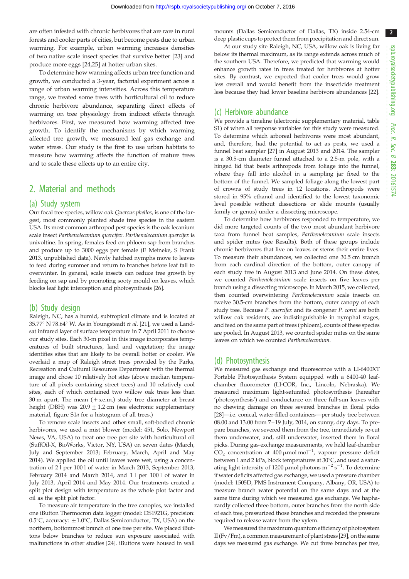2

are often infested with chronic herbivores that are rare in rural forests and cooler parts of cities, but become pests due to urban warming. For example, urban warming increases densities of two native scale insect species that survive better [23] and produce more eggs [24,25] at hotter urban sites.

To determine how warming affects urban tree function and growth, we conducted a 3-year, factorial experiment across a range of urban warming intensities. Across this temperature range, we treated some trees with horticultural oil to reduce chronic herbivore abundance, separating direct effects of warming on tree physiology from indirect effects through herbivores. First, we measured how warming affected tree growth. To identify the mechanisms by which warming affected tree growth, we measured leaf gas exchange and water stress. Our study is the first to use urban habitats to measure how warming affects the function of mature trees and to scale these effects up to an entire city.

## 2. Material and methods

#### (a) Study system

Our focal tree species, willow oak Quercus phellos, is one of the largest, most commonly planted shade tree species in the eastern USA. Its most common arthropod pest species is the oak lecanium scale insect Parthenolecanium quercifex. Parthenolecanium quercifex is univoltine. In spring, females feed on phloem sap from branches and produce up to 3000 eggs per female (E Meineke, S Frank 2013, unpublished data). Newly hatched nymphs move to leaves to feed during summer and return to branches before leaf fall to overwinter. In general, scale insects can reduce tree growth by feeding on sap and by promoting sooty mould on leaves, which blocks leaf light interception and photosynthesis [26].

## (b) Study design

Raleigh, NC, has a humid, subtropical climate and is located at  $35.77^{\circ}$  N 78.64 $^{\circ}$  W. As in Youngsteadt *et al.* [21], we used a Landsat infrared layer of surface temperature in 7 April 2011 to choose our study sites. Each 30-m pixel in this image incorporates temperatures of built structures, land and vegetation; the image identifies sites that are likely to be overall hotter or cooler. We overlaid a map of Raleigh street trees provided by the Parks, Recreation and Cultural Resources Department with the thermal image and chose 10 relatively hot sites (above median temperature of all pixels containing street trees) and 10 relatively cool sites, each of which contained two willow oak trees less than 30 m apart. The mean  $(+$ s.e.m.) study tree diameter at breast height (DBH) was  $20.9 \pm 1.2$  cm (see electronic supplementary material, figure S1a for a histogram of all trees.)

To remove scale insects and other small, soft-bodied chronic herbivores, we used a mist blower (model: 451, Solo, Newport News, VA, USA) to treat one tree per site with horticultural oil (SuffOil-X, BioWorks, Victor, NY, USA) on seven dates (March, July and September 2013; February, March, April and May 2014). We applied the oil until leaves were wet, using a concentration of 2 l per 100 l of water in March 2013, September 2013, February 2014 and March 2014, and 11 per 1001 of water in July 2013, April 2014 and May 2014. Our treatments created a split plot design with temperature as the whole plot factor and oil as the split plot factor.

To measure air temperature in the tree canopies, we installed one iButton Thermocron data logger (model: DS1921G, precision: 0.5°C, accuracy:  $\pm 1.0$ °C, Dallas Semiconductor, TX, USA) on the northern, bottommost branch of one tree per site. We placed iButtons below branches to reduce sun exposure associated with malfunctions in other studies [24]. iButtons were housed in wall

mounts (Dallas Semiconductor of Dallas, TX) inside 2.54-cm deep plastic cups to protect them from precipitation and direct sun.

At our study site Raleigh, NC, USA, willow oak is living far below its thermal maximum, as its range extends across much of the southern USA. Therefore, we predicted that warming would enhance growth rates in trees treated for herbivores at hotter sites. By contrast, we expected that cooler trees would grow less overall and would benefit from the insecticide treatment less because they had lower baseline herbivore abundances [22].

## (c) Herbivore abundance

We provide a timeline (electronic supplementary material, table S1) of when all response variables for this study were measured. To determine which arboreal herbivores were most abundant, and, therefore, had the potential to act as pests, we used a funnel beat sampler [27] in August 2013 and 2014. The sampler is a 30.5-cm diameter funnel attached to a 2.5-m pole, with a hinged lid that beats arthropods from foliage into the funnel, where they fall into alcohol in a sampling jar fixed to the bottom of the funnel. We sampled foliage along the lowest part of crowns of study trees in 12 locations. Arthropods were stored in 95% ethanol and identified to the lowest taxonomic level possible without dissections or slide mounts (usually family or genus) under a dissecting microscope.

To determine how herbivores responded to temperature, we did more targeted counts of the two most abundant herbivore taxa from funnel beat samples, Parthenolecanium scale insects and spider mites (see Results). Both of these groups include chronic herbivores that live on leaves or stems their entire lives. To measure their abundances, we collected one 30.5 cm branch from each cardinal direction of the bottom, outer canopy of each study tree in August 2013 and June 2014. On these dates, we counted Parthenolecanium scale insects on five leaves per branch using a dissecting microscope. In March 2015, we collected, then counted overwintering Parthenolecanium scale insects on twelve 30.5-cm branches from the bottom, outer canopy of each study tree. Because P. quercifex and its congener P. corni are both willow oak residents, are indistinguishable in nymphal stages, and feed on the same part of trees (phloem), counts of these species are pooled. In August 2013, we counted spider mites on the same leaves on which we counted Parthenolecanium.

#### (d) Photosynthesis

We measured gas exchange and fluorescence with a LI-6400XT Portable Photosynthesis System equipped with a 6400-40 leafchamber fluorometer (LI-COR, Inc., Lincoln, Nebraska). We measured maximum light-saturated photosynthesis (hereafter 'photosynthesis') and conductance on three full-sun leaves with no chewing damage on three severed branches in floral picks [28]—i.e. conical, water-filled containers—per study tree between 08.00 and 13.00 from 7–19 July, 2014, on sunny, dry days. To prepare branches, we severed them from the tree, immediately re-cut them underwater, and, still underwater, inserted them in floral picks. During gas-exchange measurements, we held leaf-chamber  $CO<sub>2</sub>$  concentration at 400  $\mu$ mol mol<sup>-1</sup>, vapour pressure deficit between 1 and 2 kPa, block temperatures at 30°C, and used a saturating light intensity of 1200  $\mu$ mol photons m<sup>-2</sup> s<sup>-1</sup>. To determine if water deficits affected gas exchange, we used a pressure chamber (model: 1505D, PMS Instrument Company, Albany, OR, USA) to measure branch water potential on the same days and at the same time during which we measured gas exchange. We haphazardly collected three bottom, outer branches from the north side of each tree, pressurized those branches and recorded the pressure required to release water from the xylem.

We measured the maximum quantum efficiency of photosystem II (Fv/Fm), a common measurement of plant stress [29], on the same days we measured gas exchange. We cut three branches per tree,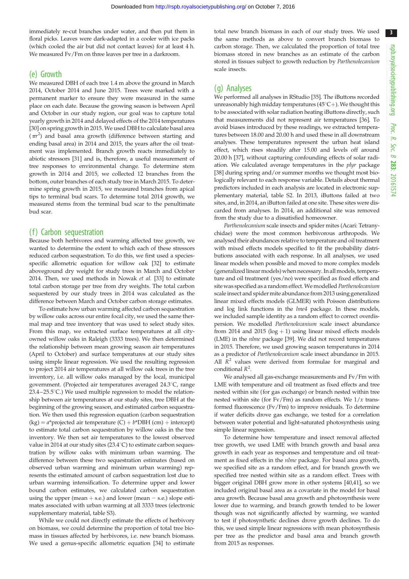immediately re-cut branches under water, and then put them in floral picks. Leaves were dark-adapted in a cooler with ice packs (which cooled the air but did not contact leaves) for at least 4 h. We measured Fv/Fm on three leaves per tree in a darkroom.

## (e) Growth

We measured DBH of each tree 1.4 m above the ground in March 2014, October 2014 and June 2015. Trees were marked with a permanent marker to ensure they were measured in the same place on each date. Because the growing season is between April and October in our study region, our goal was to capture total yearly growth in 2014 and delayed effects of the 2014 temperatures [30] on spring growth in 2015. We used DBH to calculate basal area  $(\pi r^2)$  and basal area growth (difference between starting and ending basal area) in 2014 and 2015, the years after the oil treatment was implemented. Branch growth reacts immediately to abiotic stressors [31] and is, therefore, a useful measurement of tree responses to environmental change. To determine stem growth in 2014 and 2015, we collected 12 branches from the bottom, outer branches of each study tree in March 2015. To determine spring growth in 2015, we measured branches from apical tips to terminal bud scars. To determine total 2014 growth, we measured stems from the terminal bud scar to the penultimate bud scar.

## (f) Carbon sequestration

Because both herbivores and warming affected tree growth, we wanted to determine the extent to which each of these stressors reduced carbon sequestration. To do this, we first used a speciesspecific allometric equation for willow oak [32] to estimate aboveground dry weight for study trees in March and October 2014. Then, we used methods in Nowak et al. [33] to estimate total carbon storage per tree from dry weights. The total carbon sequestered by our study trees in 2014 was calculated as the difference between March and October carbon storage estimates.

To estimate how urban warming affected carbon sequestration by willow oaks across our entire focal city, we used the same thermal map and tree inventory that was used to select study sites. From this map, we extracted surface temperatures at all cityowned willow oaks in Raleigh (3333 trees). We then determined the relationship between mean growing season air temperatures (April to October) and surface temperatures at our study sites using simple linear regression. We used the resulting regression to project 2014 air temperatures at all willow oak trees in the tree inventory, i.e. all willow oaks managed by the local, municipal government. (Projected air temperatures averaged 24.3°C, range  $23.4-25.5^{\circ}$ C.) We used multiple regression to model the relationship between air temperatures at our study sites, tree DBH at the beginning of the growing season, and estimated carbon sequestration. We then used this regression equation (carbon sequestration  $(kg) = a^*$ projected air temperature  $(C) + b^*DBH$  (cm) + intercept) to estimate total carbon sequestration by willow oaks in the tree inventory. We then set air temperatures to the lowest observed value in 2014 at our study sites  $(23.4^{\circ}C)$  to estimate carbon sequestration by willow oaks with minimum urban warming. The difference between these two sequestration estimates (based on observed urban warming and minimum urban warming) represents the estimated amount of carbon sequestration lost due to urban warming intensification. To determine upper and lower bound carbon estimates, we calculated carbon sequestration using the upper (mean  $+$  s.e.) and lower (mean  $-$  s.e.) slope estimates associated with urban warming at all 3333 trees (electronic supplementary material, table S3).

While we could not directly estimate the effects of herbivory on biomass, we could determine the proportion of total tree biomass in tissues affected by herbivores, i.e. new branch biomass. We used a genus-specific allometric equation [34] to estimate

total new branch biomass in each of our study trees. We used the same methods as above to convert branch biomass to carbon storage. Then, we calculated the proportion of total tree biomass stored in new branches as an estimate of the carbon stored in tissues subject to growth reduction by Parthenolecanium scale insects.

## (g) Analyses

We performed all analyses in RStudio [35]. The iButtons recorded unreasonably high midday temperatures ( $45^{\circ}C +$ ). We thought this to be associated with solar radiation heating iButtons directly, such that measurements did not represent air temperatures [36]. To avoid biases introduced by these readings, we extracted temperatures between 18.00 and 20.00 h and used these in all downstream analyses. These temperatures represent the urban heat island effect, which rises steadily after 15.00 and levels off around 20.00 h [37], without capturing confounding effects of solar radiation. We calculated average temperatures in the *plyr* package [38] during spring and/or summer months we thought most biologically relevant to each response variable. Details about thermal predictors included in each analysis are located in electronic supplementary material, table S2. In 2013, iButtons failed at two sites, and, in 2014, an iButton failed at one site. These sites were discarded from analyses. In 2014, an additional site was removed from the study due to a dissatisfied homeowner.

Parthenolecanium scale insects and spider mites (Acari: Tetranychidae) were the most common herbivorous arthropods. We analysed their abundances relative to temperature and oil treatment with mixed effects models specified to fit the probability distributions associated with each response. In all analyses, we used linear models when possible and moved to more complex models (generalized linearmodels) when necessary. In all models, temperature and oil treatment (yes/no) were specified as fixed effects and sitewas specified as a random effect.We modelled Parthenolecanium scale insect and spider mite abundance from 2013 using generalized linear mixed effects models (GLMER) with Poisson distributions and log link functions in the lme4 package. In these models, we included sample identity as a random effect to correct overdispersion. We modelled Parthenolecanium scale insect abundance from 2014 and 2015 ( $log + 1$ ) using linear mixed effects models (LME) in the nlme package [39]. We did not record temperatures in 2015. Therefore, we used growing season temperatures in 2014 as a predictor of Parthenolecanium scale insect abundance in 2015. All  $\hat{R}^2$  values were derived from formulae for marginal and conditional  $R^2$ .

We analysed all gas-exchange measurements and Fv/Fm with LME with temperature and oil treatment as fixed effects and tree nested within site (for gas exchange) or branch nested within tree nested within site (for Fv/Fm) as random effects. We  $1/x$  transformed fluorescence (Fv/Fm) to improve residuals. To determine if water deficits drove gas exchange, we tested for a correlation between water potential and light-saturated photosynthesis using simple linear regression.

To determine how temperature and insect removal affected tree growth, we used LME with branch growth and basal area growth in each year as responses and temperature and oil treatment as fixed effects in the nlme package. For basal area growth, we specified site as a random effect, and for branch growth we specified tree nested within site as a random effect. Trees with bigger original DBH grow more in other systems [40,41], so we included original basal area as a covariate in the model for basal area growth. Because basal area growth and photosynthesis were lower due to warming, and branch growth tended to be lower though was not significantly affected by warming, we wanted to test if photosynthetic declines drove growth declines. To do this, we used simple linear regressions with mean photosynthesis per tree as the predictor and basal area and branch growth from 2015 as responses.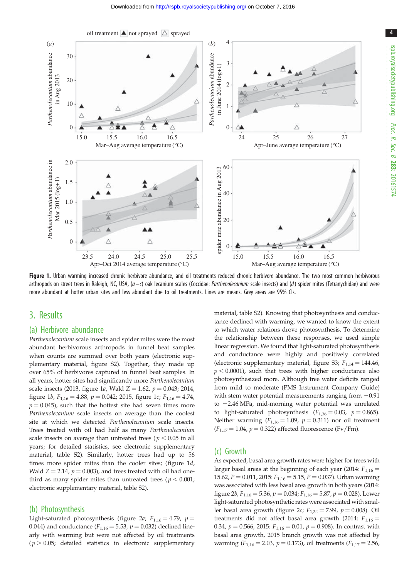

Figure 1. Urban warming increased chronic herbivore abundance, and oil treatments reduced chronic herbivore abundance. The two most common herbivorous arthropods on street trees in Raleigh, NC, USA,  $(a-c)$  oak lecanium scales (Coccidae: Parthenolecanium scale insects) and  $(d)$  spider mites (Tetranychidae) and were more abundant at hotter urban sites and less abundant due to oil treatments. Lines are means. Grey areas are 95% CIs.

## 3. Results

#### (a) Herbivore abundance

Parthenolecanium scale insects and spider mites were the most abundant herbivorous arthropods in funnel beat samples when counts are summed over both years (electronic supplementary material, figure S2). Together, they made up over 65% of herbivores captured in funnel beat samples. In all years, hotter sites had significantly more Parthenolecanium scale insects (2013, figure 1*a*, Wald  $Z = 1.62$ ,  $p = 0.043$ ; 2014, figure 1*b*,  $F_{1,16} = 4.88$ ,  $p = 0.042$ ; 2015, figure 1*c*;  $F_{1,16} = 4.74$ ,  $p = 0.045$ ), such that the hottest site had seven times more Parthenolecanium scale insects on average than the coolest site at which we detected Parthenolecanium scale insects. Trees treated with oil had half as many Parthenolecanium scale insects on average than untreated trees ( $p < 0.05$  in all years; for detailed statistics, see electronic supplementary material, table S2). Similarly, hotter trees had up to 56 times more spider mites than the cooler sites; (figure 1d, Wald  $Z = 2.14$ ,  $p = 0.003$ ), and trees treated with oil had onethird as many spider mites than untreated trees ( $p < 0.001$ ; electronic supplementary material, table S2).

#### (b) Photosynthesis

Light-saturated photosynthesis (figure 2a;  $F_{1,16} = 4.79$ ,  $p =$ 0.044) and conductance  $(F_{1,16} = 5.53, p = 0.032)$  declined linearly with warming but were not affected by oil treatments  $(p > 0.05;$  detailed statistics in electronic supplementary material, table S2). Knowing that photosynthesis and conductance declined with warming, we wanted to know the extent to which water relations drove photosynthesis. To determine the relationship between these responses, we used simple linear regression. We found that light-saturated photosynthesis and conductance were highly and positively correlated (electronic supplementary material, figure S3;  $F_{1,14} = 144.46$ ,  $p < 0.0001$ ), such that trees with higher conductance also photosynthesized more. Although tree water deficits ranged from mild to moderate (PMS Instrument Company Guide) with stem water potential measurements ranging from  $-0.91$ to  $-2.46$  MPa, mid-morning water potential was unrelated to light-saturated photosynthesis  $(F_{1,36} = 0.03, p = 0.865)$ . Neither warming  $(F_{1,16} = 1.09, p = 0.311)$  nor oil treatment  $(F_{1,17} = 1.04, p = 0.322)$  affected fluorescence (Fv/Fm).

#### (c) Growth

As expected, basal area growth rates were higher for trees with larger basal areas at the beginning of each year (2014:  $F_{1,16}$  = 15.62,  $P = 0.011$ , 2015:  $F_{1,16} = 5.15$ ,  $P = 0.037$ ). Urban warming was associated with less basal area growth in both years (2014: figure 2b,  $F_{1,16} = 5.36$ ,  $p = 0.034$ ;  $F_{1,16} = 5.87$ ,  $p = 0.028$ ). Lower light-saturated photosynthetic rates were associated with smaller basal area growth (figure 2c;  $F_{1,34} = 7.99$ ,  $p = 0.008$ ). Oil treatments did not affect basal area growth (2014:  $F_{1,16}$  = 0.34,  $p = 0.566$ , 2015:  $F_{1,16} = 0.01$ ,  $p = 0.908$ ). In contrast with basal area growth, 2015 branch growth was not affected by warming ( $F_{1,16} = 2.03$ ,  $p = 0.173$ ), oil treatments ( $F_{1,17} = 2.56$ ,

4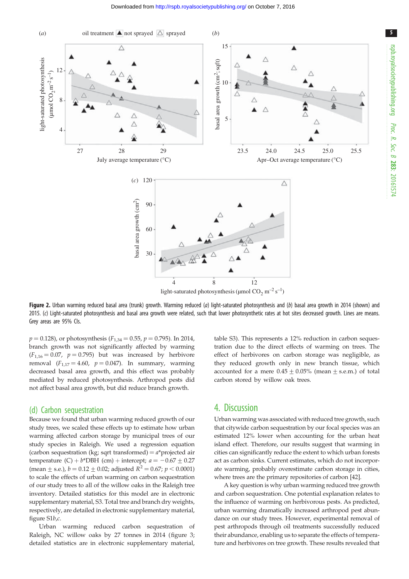

Figure 2. Urban warming reduced basal area (trunk) growth. Warming reduced (a) light-saturated photosynthesis and (b) basal area growth in 2014 (shown) and 2015. (c) Light-saturated photosynthesis and basal area growth were related, such that lower photosynthetic rates at hot sites decreased growth. Lines are means. Grey areas are 95% CIs.

 $p = 0.128$ ), or photosynthesis ( $F_{1,34} = 0.55$ ,  $p = 0.795$ ). In 2014, branch growth was not significantly affected by warming  $(F_{1,16} = 0.07, p = 0.795)$  but was increased by herbivore removal  $(F_{1,17} = 4.60, p = 0.047)$ . In summary, warming decreased basal area growth, and this effect was probably mediated by reduced photosynthesis. Arthropod pests did not affect basal area growth, but did reduce branch growth.

#### (d) Carbon sequestration

Because we found that urban warming reduced growth of our study trees, we scaled these effects up to estimate how urban warming affected carbon storage by municipal trees of our study species in Raleigh. We used a regression equation (carbon sequestration (kg; sqrt transformed) =  $a^*$ projected air temperature  $(C) + b^*DBH$  (cm) + intercept;  $a = -0.67 \pm 0.27$ (mean  $\pm$  s.e.),  $b = 0.12 \pm 0.02$ ; adjusted  $R^2 = 0.67$ ;  $p < 0.0001$ ) to scale the effects of urban warming on carbon sequestration of our study trees to all of the willow oaks in the Raleigh tree inventory. Detailed statistics for this model are in electronic supplementary material, S3. Total tree and branch dry weights, respectively, are detailed in electronic supplementary material, figure S1b,c.

Urban warming reduced carbon sequestration of Raleigh, NC willow oaks by 27 tonnes in 2014 (figure 3; detailed statistics are in electronic supplementary material,

table S3). This represents a 12% reduction in carbon sequestration due to the direct effects of warming on trees. The effect of herbivores on carbon storage was negligible, as they reduced growth only in new branch tissue, which accounted for a mere  $0.45 \pm 0.05\%$  (mean  $\pm$  s.e.m.) of total carbon stored by willow oak trees.

## 4. Discussion

Urban warming was associated with reduced tree growth, such that citywide carbon sequestration by our focal species was an estimated 12% lower when accounting for the urban heat island effect. Therefore, our results suggest that warming in cities can significantly reduce the extent to which urban forests act as carbon sinks. Current estimates, which do not incorporate warming, probably overestimate carbon storage in cities, where trees are the primary repositories of carbon [42].

A key question is why urban warming reduced tree growth and carbon sequestration. One potential explanation relates to the influence of warming on herbivorous pests. As predicted, urban warming dramatically increased arthropod pest abundance on our study trees. However, experimental removal of pest arthropods through oil treatments successfully reduced their abundance, enabling us to separate the effects of temperature and herbivores on tree growth. These results revealed that rspb.royalsocietypublishing.org

Proc. R. Soc. $\sigma$ 

283: 20161574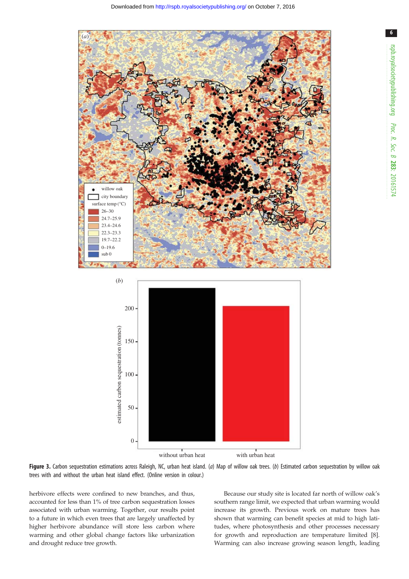

Figure 3. Carbon sequestration estimations across Raleigh, NC, urban heat island. (a) Map of willow oak trees. (b) Estimated carbon sequestration by willow oak trees with and without the urban heat island effect. (Online version in colour.)

herbivore effects were confined to new branches, and thus, accounted for less than 1% of tree carbon sequestration losses associated with urban warming. Together, our results point to a future in which even trees that are largely unaffected by higher herbivore abundance will store less carbon where warming and other global change factors like urbanization and drought reduce tree growth.

Because our study site is located far north of willow oak's southern range limit, we expected that urban warming would increase its growth. Previous work on mature trees has shown that warming can benefit species at mid to high latitudes, where photosynthesis and other processes necessary for growth and reproduction are temperature limited [8]. Warming can also increase growing season length, leading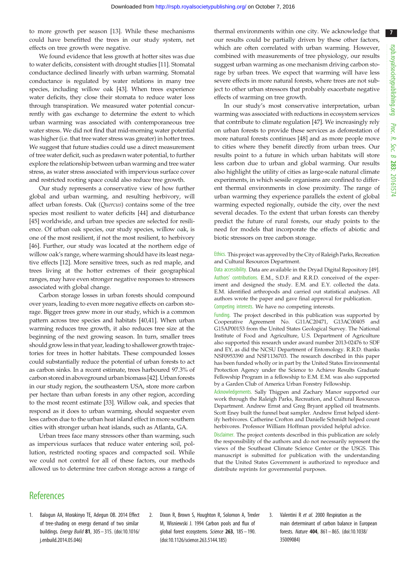7

to more growth per season [13]. While these mechanisms could have benefitted the trees in our study system, net effects on tree growth were negative.

We found evidence that less growth at hotter sites was due to water deficits, consistent with drought studies [11]. Stomatal conductance declined linearly with urban warming. Stomatal conductance is regulated by water relations in many tree species, including willow oak [43]. When trees experience water deficits, they close their stomata to reduce water loss through transpiration. We measured water potential concurrently with gas exchange to determine the extent to which urban warming was associated with contemporaneous tree water stress. We did not find that mid-morning water potential was higher (i.e. that tree water stress was greater) in hotter trees. We suggest that future studies could use a direct measurement of tree water deficit, such as predawn water potential, to further explore the relationship between urban warming and tree water stress, as water stress associated with impervious surface cover and restricted rooting space could also reduce tree growth.

Our study represents a conservative view of how further global and urban warming, and resulting herbivory, will affect urban forests. Oak (Quercus) contains some of the tree species most resilient to water deficits [44] and disturbance [45] worldwide, and urban tree species are selected for resilience. Of urban oak species, our study species, willow oak, is one of the most resilient, if not the most resilient, to herbivory [46]. Further, our study was located at the northern edge of willow oak's range, where warming should have its least negative effects [12]. More sensitive trees, such as red maple, and trees living at the hotter extremes of their geographical ranges, may have even stronger negative responses to stressors associated with global change.

Carbon storage losses in urban forests should compound over years, leading to even more negative effects on carbon storage. Bigger trees grew more in our study, which is a common pattern across tree species and habitats [40,41]. When urban warming reduces tree growth, it also reduces tree size at the beginning of the next growing season. In turn, smaller trees should grow less in that year, leading to shallower growth trajectories for trees in hotter habitats. These compounded losses could substantially reduce the potential of urban forests to act as carbon sinks. In a recent estimate, trees harboured 97.3% of carbon stored in aboveground urban biomass [42]. Urban forests in our study region, the southeastern USA, store more carbon per hectare than urban forests in any other region, according to the most recent estimate [33]. Willow oak, and species that respond as it does to urban warming, should sequester even less carbon due to the urban heat island effect in more southern cities with stronger urban heat islands, such as Atlanta, GA.

Urban trees face many stressors other than warming, such as impervious surfaces that reduce water entering soil, pollution, restricted rooting spaces and compacted soil. While we could not control for all of these factors, our methods allowed us to determine tree carbon storage across a range of thermal environments within one city. We acknowledge that our results could be partially driven by these other factors, which are often correlated with urban warming. However, combined with measurements of tree physiology, our results suggest urban warming as one mechanism driving carbon storage by urban trees. We expect that warming will have less severe effects in more natural forests, where trees are not subject to other urban stressors that probably exacerbate negative effects of warming on tree growth.

In our study's most conservative interpretation, urban warming was associated with reductions in ecosystem services that contribute to climate regulation [47]. We increasingly rely on urban forests to provide these services as deforestation of more natural forests continues [48] and as more people move to cities where they benefit directly from urban trees. Our results point to a future in which urban habitats will store less carbon due to urban and global warming. Our results also highlight the utility of cities as large-scale natural climate experiments, in which sessile organisms are confined to different thermal environments in close proximity. The range of urban warming they experience parallels the extent of global warming expected regionally, outside the city, over the next several decades. To the extent that urban forests can thereby predict the future of rural forests, our study points to the need for models that incorporate the effects of abiotic and biotic stressors on tree carbon storage.

Ethics. This project was approved by the City of Raleigh Parks, Recreation and Cultural Resources Department.

Data accessibility. Data are available in the Dryad Digital Repository [49]. Authors' contributions. E.M., S.D.F. and R.R.D. conceived of the experiment and designed the study. E.M. and E.Y. collected the data. E.M. identified arthropods and carried out statistical analyses. All authors wrote the paper and gave final approval for publication. Competing interests. We have no competing interests.

Funding. The project described in this publication was supported by Cooperative Agreement No. G11AC20471, G13AC00405 and G15AP00153 from the United States Geological Survey. The National Institute of Food and Agriculture, U.S. Department of Agriculture also supported this research under award number 2013-02476 to SDF and EY, as did the NCSU Department of Entomology. R.R.D. thanks NSF0953390 and NSF1136703. The research described in this paper has been funded wholly or in part by the United States Environmental Protection Agency under the Science to Achieve Results Graduate Fellowship Program in a fellowship to E.M. E.M. was also supported by a Garden Club of America Urban Forestry Fellowship.

Acknowledgements. Sally Thigpen and Zachary Manor supported our work through the Raleigh Parks, Recreation, and Cultural Resources Department. Andrew Ernst and Greg Bryant applied oil treatments. Scott Eney built the funnel beat sampler. Andrew Ernst helped identify herbivores. Catherine Crofton and Danielle Schmidt helped count herbivores. Professor William Hoffman provided helpful advice.

Disclaimer. The project contents described in this publication are solely the responsibility of the authors and do not necessarily represent the views of the Southeast Climate Science Center or the USGS. This manuscript is submitted for publication with the understanding that the United States Government is authorized to reproduce and distribute reprints for governmental purposes.

## **References**

- 1. Balogun AA, Morakinyo TE, Adegun OB. 2014 Effect of tree-shading on energy demand of two similar buildings. Energy Build 81, 305– 315. (doi:10.1016/ j.enbuild.2014.05.046)
- 2. Dixon R, Brown S, Houghton R, Solomon A, Trexler M, Wisniewski J. 1994 Carbon pools and flux of global forest ecosystems. Science 263, 185-190. (doi:10.1126/science.263.5144.185)
- 3. Valentini R et al. 2000 Respiration as the main determinant of carbon balance in European forests. Nature 404, 861 – 865. (doi:10.1038/ 35009084)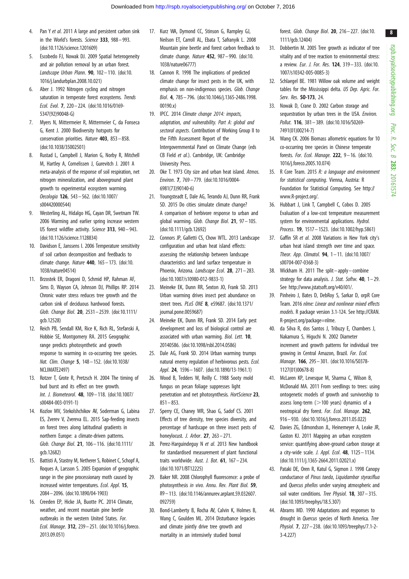- 4. Pan Y et al. 2011 A large and persistent carbon sink in the World's forests. Science 333, 988 – 993. (doi:10.1126/science.1201609)
- 5. Escobedo FJ, Nowak DJ. 2009 Spatial heterogeneity and air pollution removal by an urban forest. Landscape Urban Plann.  $90$ ,  $102 - 110$ . (doi:10. 1016/j.landurbplan.2008.10.021)
- 6. Aber J. 1992 Nitrogen cycling and nitrogen saturation in temperate forest ecosystems. Trends Ecol. Evol. 7, 220– 224. (doi:10.1016/0169- 5347(92)90048-G)
- 7. Myers N, Mittermeier R, Mittermeier C, da Fonseca G, Kent J. 2000 Biodiversity hotspots for conservation priorities. Nature 403, 853– 858. (doi:10.1038/35002501)
- 8. Rustad L, Campbell J, Marion G, Norby R, Mitchell M, Hartley A, Cornelissen J, Gurevitch J. 2001 A meta-analysis of the response of soil respiration, net nitrogen mineralization, and aboveground plant growth to experimental ecosystem warming. Oecologia 126, 543 – 562. (doi:10.1007/ s004420000544)
- 9. Westerling AL, Hidalgo HG, Cayan DR, Swetnam TW. 2006 Warming and earlier spring increase western US forest wildfire activity. Science 313, 940 – 943. (doi:10.1126/science.1128834)
- 10. Davidson E, Janssens I. 2006 Temperature sensitivity of soil carbon decomposition and feedbacks to climate change. Nature 440, 165 – 173. (doi:10. 1038/nature04514)
- 11. Brzostek ER, Dragoni D, Schmid HP, Rahman AF, Sims D, Wayson CA, Johnson DJ, Phillips RP. 2014 Chronic water stress reduces tree growth and the carbon sink of deciduous hardwood forests. Glob. Change Biol. 20, 2531– 2539. (doi:10.1111/ gcb.12528)
- 12. Reich PB, Sendall KM, Rice K, Rich RL, Stefanski A, Hobbie SE, Montgomery RA. 2015 Geographic range predicts photosynthetic and growth response to warming in co-occurring tree species. Nat. Clim. Change 5, 148 – 152. (doi:10.1038/ NCLIMATE2497)
- 13. Rotzer T, Grote R, Pretzsch H. 2004 The timing of bud burst and its effect on tree growth. Int. J. Biometeorol. 48, 109– 118. (doi:10.1007/ s00484-003-0191-1)
- 14. Kozlov MV, Stekolshchikov AV, Soderman G, Labina ES, Zverev V, Zvereva EL. 2015 Sap-feeding insects on forest trees along latitudinal gradients in northern Europe: a climate-driven patterns. Glob. Change Biol. 21, 106– 116. (doi:10.1111/ gcb.12682)
- 15. Battisti A, Stastny M, Netherer S, Robinet C, Schopf A, Roques A, Larsson S. 2005 Expansion of geographic range in the pine processionary moth caused by increased winter temperatures. Ecol. Appl. 15, 2084– 2096. (doi:10.1890/04-1903)
- 16. Creeden EP, Hicke JA, Buotte PC. 2014 Climate, weather, and recent mountain pine beetle outbreaks in the western United States. For. Ecol. Manage. 312, 239– 251. (doi:10.1016/j.foreco. 2013.09.051)
- 17. Kurz WA, Dymond CC, Stinson G, Rampley GJ, Neilson ET, Carroll AL, Ebata T, Safranyik L. 2008 Mountain pine beetle and forest carbon feedback to climate change. Nature  $452$ ,  $987 - 990$ . (doi:10. 1038/nature06777)
- 18. Cannon R. 1998 The implications of predicted climate change for insect pests in the UK, with emphasis on non-indigenous species. Glob. Change Biol. 4, 785– 796. (doi:10.1046/j.1365-2486.1998. 00190.x)
- 19. IPCC. 2014 Climate change 2014: impacts, adaptation, and vulnerability. Part A: global and sectoral aspects. Contribution of Working Group II to the Fifth Assessment Report of the Intergovernmental Panel on Climate Change (eds CB Field et al.). Cambridge, UK: Cambridge University Press.
- 20. Oke T. 1973 City size and urban heat island. Atmos. Environ. 7, 769– 779. (doi:10.1016/0004- 6981(73)90140-6)
- 21. Youngsteadt E, Dale AG, Terando AJ, Dunn RR, Frank SD. 2015 Do cities simulate climate change? A comparison of herbivore response to urban and global warming. Glob. Change Biol.  $21$ ,  $97 - 105$ . (doi:10.1111/gcb.12692)
- 22. Connors JP, Galletti CS, Chow WTL. 2013 Landscape configuration and urban heat island effects: assessing the relationship between landscape characteristics and land surface temperature in Phoenix, Arizona. Landscape Ecol. 28, 271-283. (doi:10.1007/s10980-012-9833-1)
- 23. Meineke EK, Dunn RR, Sexton JO, Frank SD. 2013 Urban warming drives insect pest abundance on street trees. PLoS ONE 8, e59687. (doi:10.1371/ journal.pone.0059687)
- 24. Meineke EK, Dunn RR, Frank SD. 2014 Early pest development and loss of biological control are associated with urban warming. Biol. Lett. 10, 20140586. (doi:10.1098/rsbl.2014.0586)
- 25. Dale AG, Frank SD. 2014 Urban warming trumps natural enemy regulation of herbivorous pests. Ecol. Appl. 24, 1596-1607. (doi:10.1890/13-1961.1)
- 26. Wood B, Tedders W, Reilly C. 1988 Sooty mold fungus on pecan foliage suppresses light penetration and net photosynthesis. HortScience 23,  $851 - 853.$
- 27. Sperry CE, Chaney WR, Shao G, Sadof CS. 2001 Effects of tree density, tree species diversity, and percentage of hardscape on three insect pests of honeylocust. J. Arbor. 27, 263– 271.
- 28. Perez-Harguindeguy N et al. 2013 New handbook for standardised measurement of plant functional traits worldwide. Aust. J. Bot.  $61$ ,  $167 - 234$ . (doi:10.1071/BT12225)
- 29. Baker NR. 2008 Chlorophyll fluorescence: a probe of photosynthesis in vivo. Annu. Rev. Plant Biol. 59, 89 –113. (doi:10.1146/annurev.arplant.59.032607. 092759)
- 30. Bond-Lamberty B, Rocha AV, Calvin K, Holmes B, Wang C, Goulden ML. 2014 Disturbance legacies and climate jointly drive tree growth and mortality in an intensively studied boreal

forest. Glob. Change Biol. 20, 216– 227. (doi:10. 1111/gcb.12404)

- 31. Dobbertin M. 2005 Tree growth as indicator of tree vitality and of tree reaction to environmental stress: a review. Eur. J. For. Res. 124, 319– 333. (doi:10. 1007/s10342-005-0085-3)
- 32. Schlaegel BE. 1981 Willow oak volume and weight tables for the Mississippi delta. US Dep. Agric. For. Serv. Res. SO-173, 24.
- 33. Nowak D, Crane D. 2002 Carbon storage and sequestration by urban trees in the USA. Environ. Pollut. 116, 381– 389. (doi:10.1016/S0269- 7491(01)00214-7)
- 34. Wang CK. 2006 Biomass allometric equations for 10 co-occurring tree species in Chinese temperate forests. For. Ecol. Manage. 222, 9– 16. (doi:10. 1016/j.foreco.2005.10.074)
- 35. R Core Team. 2015 R: a language and environment for statistical computing. Vienna, Austria: R Foundation for Statistical Computing. See http:// www.R-project.org/.
- 36. Hubbart J, Link T, Campbell C, Cobos D. 2005 Evaluation of a low-cost temperature measurement system for environmental applications. Hydrol. Process. 19, 1517 – 1523. (doi:10.1002/hyp.5861)
- 37. Gaffin SR et al. 2008 Variations in New York city's urban heat island strength over time and space. Theor. App. Climatol. **94**,  $1 - 11$ . (doi:10.1007/ s00704-007-0368-3)
- 38. Wickham H. 2011 The split– apply–combine strategy for data analysis. *J. Stat. Softw*. **40**,  $1 - 29$ . See http://www.jstatsoft.org/v40/i01/.
- 39. Pinheiro J, Bates D, DebRoy S, Sarkar D, orpR Core Team. 2016 nlme: Linear and nonlinear mixed effects models. R package version 3.1-124. See http://CRAN. R-project.org/package=nlme.
- 40. da Silva R, dos Santos J, Tribuzy E, Chambers J, Nakamura S, Higuchi N. 2002 Diameter increment and growth patterns for individual tree growing in Central Amazon, Brazil. For. Ecol. Manage. 166, 295 – 301. (doi:10.1016/S0378- 1127(01)00678-8)
- 41. McLaren KP, Levesque M, Sharma C, Wilson B, McDonald MA. 2011 From seedlings to trees: using ontogenetic models of growth and survivorship to assess long-term  $(>100$  years) dynamics of a neotropical dry forest. For. Ecol. Manage. 262, 916– 930. (doi:10.1016/j.foreco.2011.05.022)
- 42. Davies ZG, Edmondson JL, Heinemeyer A, Leake JR, Gaston KJ. 2011 Mapping an urban ecosystem service: quantifying above-ground carbon storage at a city-wide scale. *J. Appl. Ecol.* **48**,  $1125 - 1134$ . (doi:10.1111/j.1365-2664.2011.02021.x)
- 43. Pataki DE, Oren R, Katul G, Sigmon J. 1998 Canopy conductance of Pinus taeda, Liquidambar styraciflua and Quercus phellos under varying atmospheric and soil water conditions. Tree Physiol. **18**, 307-315. (doi:10.1093/treephys/18.5.307)
- 44. Abrams MD. 1990 Adaptations and responses to drought in *Quercus* species of North America. Tree Physiol. 7, 227 – 238. (doi:10.1093/treephys/7.1-2- 3-4.227)